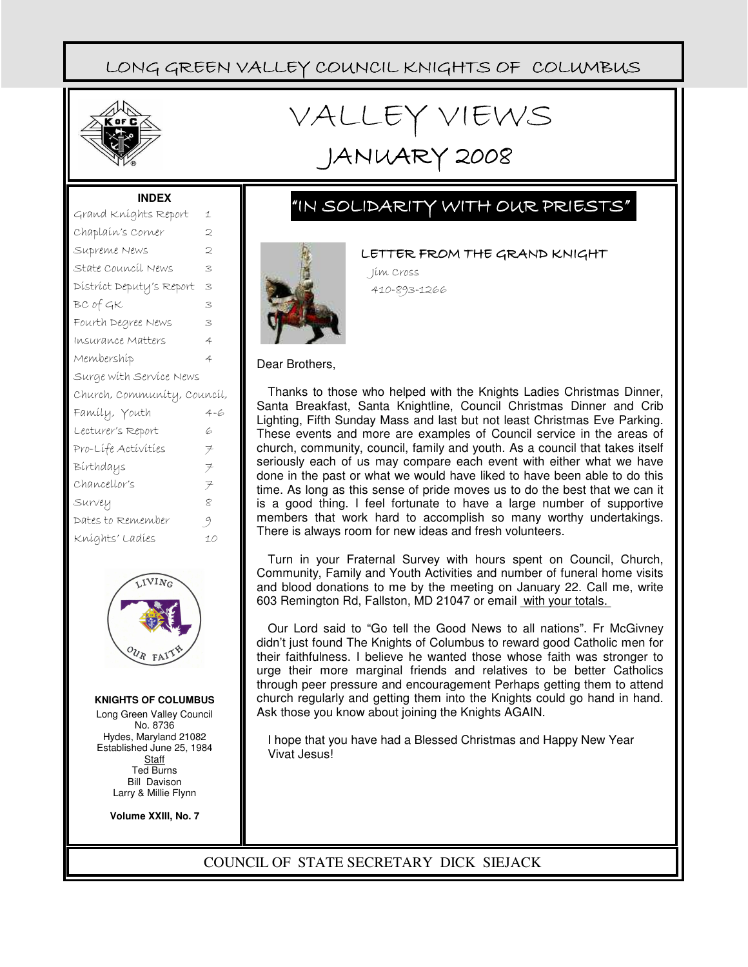

# VALLEY VIEWS

# JANUARY 2008

#### **INDEX**

| Grand Kníghts Report        | 1      |
|-----------------------------|--------|
| Chaplaín's Corner           | 2      |
| Supreme News                | 2      |
| State Council News          | 3      |
| District Deputy's Report    | 3      |
| BC of GK                    | 3      |
| Fourth Degree News          | 3      |
| Insurance Matters           | 4      |
| Membershíp                  | 4      |
| Surge with Service News     |        |
|                             |        |
| Church, Community, Council, |        |
| Famíly, Youth               | 4-6    |
| Lecturer's Report           | 6      |
| Pro-Lífe Actívities         | $\neq$ |
| Bírthdays                   | $\neq$ |
| Chancellor's                | $\neq$ |
| Survey                      | 8      |
| Dates to Remember           | -9     |
| Kníghts' Ladíes             | 10     |



#### **KNIGHTS OF COLUMBUS**

Long Green Valley Council No. 8736 Hydes, Maryland 21082 Established June 25, 1984 **Staff** Ted Burns Bill Davison Larry & Millie Flynn

**Volume XXIII, No. 7**

### "IN SOLIDARITY WITH OUR PRIESTS"



LETTER FROM THE GRAND KNIGHT

Jim Cross 410-893-1266

#### Dear Brothers,

Thanks to those who helped with the Knights Ladies Christmas Dinner, Santa Breakfast, Santa Knightline, Council Christmas Dinner and Crib Lighting, Fifth Sunday Mass and last but not least Christmas Eve Parking. These events and more are examples of Council service in the areas of church, community, council, family and youth. As a council that takes itself seriously each of us may compare each event with either what we have done in the past or what we would have liked to have been able to do this time. As long as this sense of pride moves us to do the best that we can it is a good thing. I feel fortunate to have a large number of supportive members that work hard to accomplish so many worthy undertakings. There is always room for new ideas and fresh volunteers.

Turn in your Fraternal Survey with hours spent on Council, Church, Community, Family and Youth Activities and number of funeral home visits and blood donations to me by the meeting on January 22. Call me, write 603 Remington Rd, Fallston, MD 21047 or email with your totals.

Our Lord said to "Go tell the Good News to all nations". Fr McGivney didn't just found The Knights of Columbus to reward good Catholic men for their faithfulness. I believe he wanted those whose faith was stronger to urge their more marginal friends and relatives to be better Catholics through peer pressure and encouragement Perhaps getting them to attend church regularly and getting them into the Knights could go hand in hand. Ask those you know about joining the Knights AGAIN.

I hope that you have had a Blessed Christmas and Happy New Year Vivat Jesus!

#### COUNCIL OF STATE SECRETARY DICK SIEJACK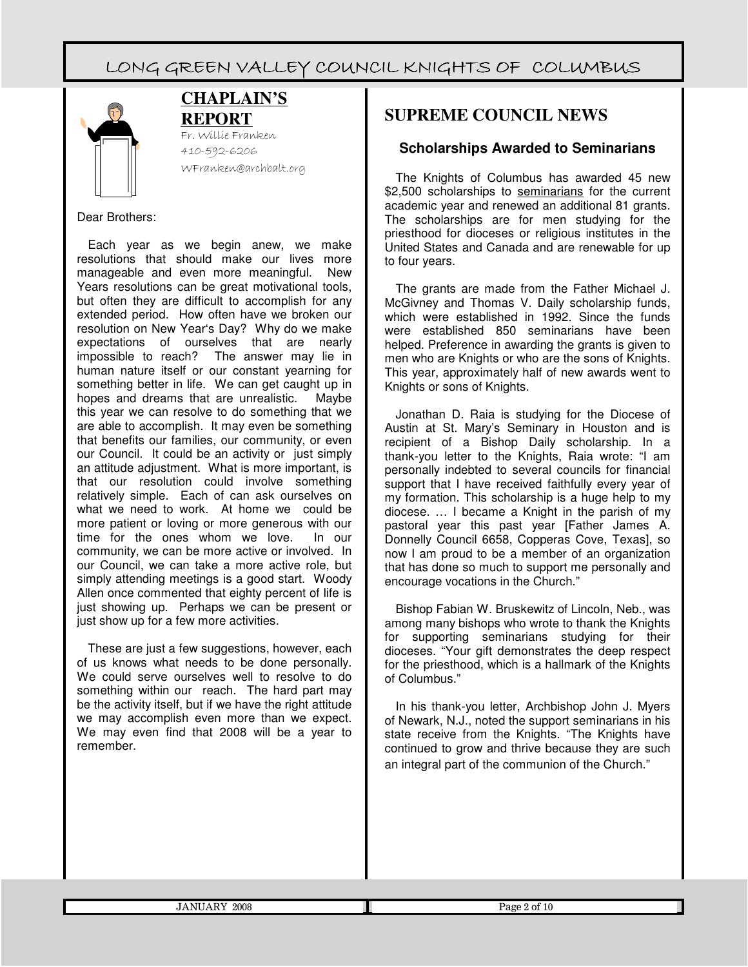

#### **CHAPLAIN'S REPORT**

Fr. Willie Franken 410-592-6206 WFranken@archbalt.org

#### Dear Brothers:

Each year as we begin anew, we make resolutions that should make our lives more manageable and even more meaningful. New Years resolutions can be great motivational tools, but often they are difficult to accomplish for any extended period. How often have we broken our resolution on New Year's Day? Why do we make expectations of ourselves that are nearly impossible to reach? The answer may lie in human nature itself or our constant yearning for something better in life. We can get caught up in hopes and dreams that are unrealistic. Maybe this year we can resolve to do something that we are able to accomplish. It may even be something that benefits our families, our community, or even our Council. It could be an activity or just simply an attitude adjustment. What is more important, is that our resolution could involve something relatively simple. Each of can ask ourselves on what we need to work. At home we could be more patient or loving or more generous with our<br>time for the ones whom we love. In our time for the ones whom we love. community, we can be more active or involved. In our Council, we can take a more active role, but simply attending meetings is a good start. Woody Allen once commented that eighty percent of life is just showing up. Perhaps we can be present or just show up for a few more activities.

These are just a few suggestions, however, each of us knows what needs to be done personally. We could serve ourselves well to resolve to do something within our reach. The hard part may be the activity itself, but if we have the right attitude we may accomplish even more than we expect. We may even find that 2008 will be a year to remember.

### **SUPREME COUNCIL NEWS**

#### **Scholarships Awarded to Seminarians**

The Knights of Columbus has awarded 45 new \$2,500 scholarships to seminarians for the current academic year and renewed an additional 81 grants. The scholarships are for men studying for the priesthood for dioceses or religious institutes in the United States and Canada and are renewable for up to four years.

The grants are made from the Father Michael J. McGivney and Thomas V. Daily scholarship funds, which were established in 1992. Since the funds were established 850 seminarians have been helped. Preference in awarding the grants is given to men who are Knights or who are the sons of Knights. This year, approximately half of new awards went to Knights or sons of Knights.

Jonathan D. Raia is studying for the Diocese of Austin at St. Mary's Seminary in Houston and is recipient of a Bishop Daily scholarship. In a thank-you letter to the Knights, Raia wrote: "I am personally indebted to several councils for financial support that I have received faithfully every year of my formation. This scholarship is a huge help to my diocese. … I became a Knight in the parish of my pastoral year this past year [Father James A. Donnelly Council 6658, Copperas Cove, Texas], so now I am proud to be a member of an organization that has done so much to support me personally and encourage vocations in the Church."

Bishop Fabian W. Bruskewitz of Lincoln, Neb., was among many bishops who wrote to thank the Knights for supporting seminarians studying for their dioceses. "Your gift demonstrates the deep respect for the priesthood, which is a hallmark of the Knights of Columbus."

In his thank-you letter, Archbishop John J. Myers of Newark, N.J., noted the support seminarians in his state receive from the Knights. "The Knights have continued to grow and thrive because they are such an integral part of the communion of the Church."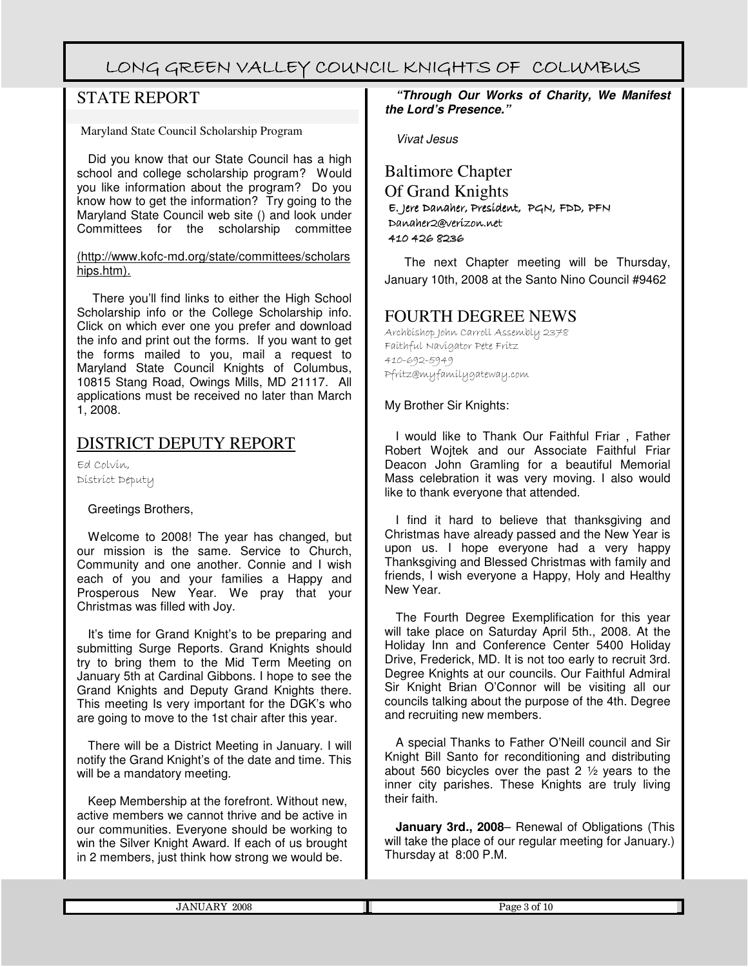### STATE REPORT

Maryland State Council Scholarship Program

Did you know that our State Council has a high school and college scholarship program? Would you like information about the program? Do you know how to get the information? Try going to the Maryland State Council web site () and look under Committees for the scholarship committee

(http://www.kofc-md.org/state/committees/scholars hips.htm).

 There you'll find links to either the High School Scholarship info or the College Scholarship info. Click on which ever one you prefer and download the info and print out the forms. If you want to get the forms mailed to you, mail a request to Maryland State Council Knights of Columbus, 10815 Stang Road, Owings Mills, MD 21117. All applications must be received no later than March 1, 2008.

#### DISTRICT DEPUTY REPORT

Ed Colvin, District Deputy

#### Greetings Brothers,

Welcome to 2008! The year has changed, but our mission is the same. Service to Church, Community and one another. Connie and I wish each of you and your families a Happy and Prosperous New Year. We pray that your Christmas was filled with Joy.

It's time for Grand Knight's to be preparing and submitting Surge Reports. Grand Knights should try to bring them to the Mid Term Meeting on January 5th at Cardinal Gibbons. I hope to see the Grand Knights and Deputy Grand Knights there. This meeting Is very important for the DGK's who are going to move to the 1st chair after this year.

There will be a District Meeting in January. I will notify the Grand Knight's of the date and time. This will be a mandatory meeting.

Keep Membership at the forefront. Without new, active members we cannot thrive and be active in our communities. Everyone should be working to win the Silver Knight Award. If each of us brought in 2 members, just think how strong we would be.

**"Through Our Works of Charity, We Manifest the Lord's Presence."**

Vivat Jesus

Baltimore Chapter Of Grand Knights E. Jere Jere Danaher, President, President, PGN, FDD, PFN Danaher2@verizon.net 410 426 8236

The next Chapter meeting will be Thursday, January 10th, 2008 at the Santo Nino Council #9462

#### FOURTH DEGREE NEWS

Archbishop John Carroll Assembly 2378 Faithful Navigator Pete Fritz 410-692-5949 Pfritz@myfamilygateway.com

My Brother Sir Knights:

I would like to Thank Our Faithful Friar , Father Robert Wojtek and our Associate Faithful Friar Deacon John Gramling for a beautiful Memorial Mass celebration it was very moving. I also would like to thank everyone that attended.

I find it hard to believe that thanksgiving and Christmas have already passed and the New Year is upon us. I hope everyone had a very happy Thanksgiving and Blessed Christmas with family and friends, I wish everyone a Happy, Holy and Healthy New Year.

The Fourth Degree Exemplification for this year will take place on Saturday April 5th., 2008. At the Holiday Inn and Conference Center 5400 Holiday Drive, Frederick, MD. It is not too early to recruit 3rd. Degree Knights at our councils. Our Faithful Admiral Sir Knight Brian O'Connor will be visiting all our councils talking about the purpose of the 4th. Degree and recruiting new members.

A special Thanks to Father O'Neill council and Sir Knight Bill Santo for reconditioning and distributing about 560 bicycles over the past 2 ½ years to the inner city parishes. These Knights are truly living their faith.

**January 3rd., 2008**– Renewal of Obligations (This will take the place of our regular meeting for January.) Thursday at 8:00 P.M.

| 0000<br>ז הי<br>∠∪∪o | $\sim$<br>Page<br>. ot |
|----------------------|------------------------|
|                      |                        |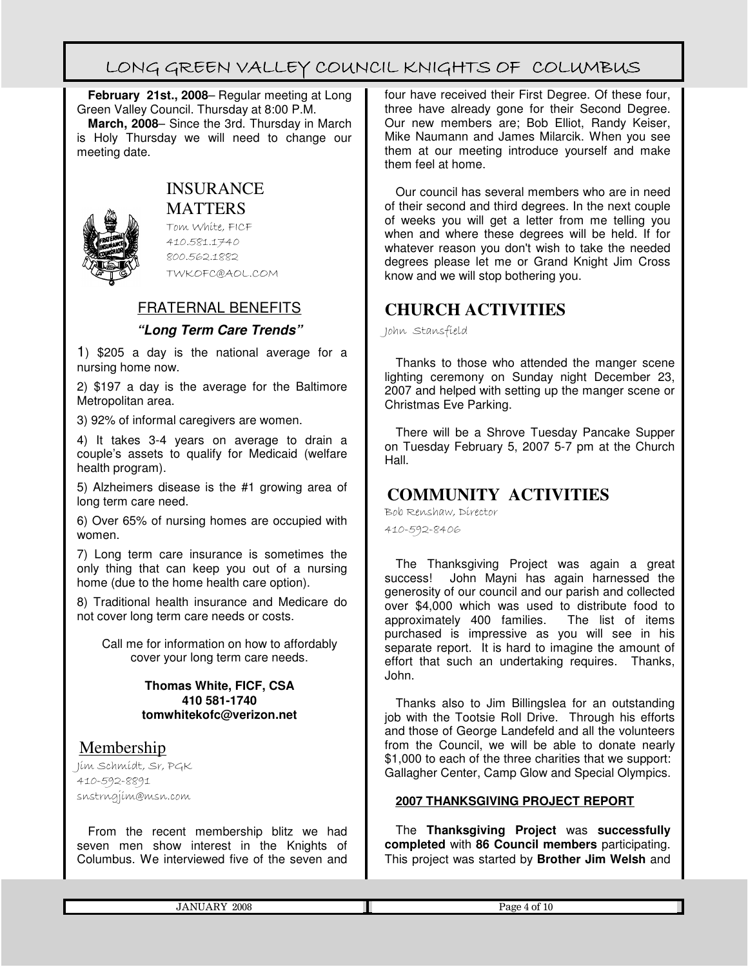**February 21st., 2008**– Regular meeting at Long Green Valley Council. Thursday at 8:00 P.M.

**March, 2008**– Since the 3rd. Thursday in March is Holy Thursday we will need to change our meeting date.



# INSURANCE

MATTERS

Tom White, FICF 410.581.1740 800.562.1882 TWKOFC@AOL.COM

#### FRATERNAL BENEFITS

#### **"Long Term Care Trends"**

1) \$205 a day is the national average for a nursing home now.

2) \$197 a day is the average for the Baltimore Metropolitan area.

3) 92% of informal caregivers are women.

4) It takes 3-4 years on average to drain a couple's assets to qualify for Medicaid (welfare health program).

5) Alzheimers disease is the #1 growing area of long term care need.

6) Over 65% of nursing homes are occupied with women.

7) Long term care insurance is sometimes the only thing that can keep you out of a nursing home (due to the home health care option).

8) Traditional health insurance and Medicare do not cover long term care needs or costs.

Call me for information on how to affordably cover your long term care needs.

#### **Thomas White, FICF, CSA 410 581-1740 tomwhitekofc@verizon.net**

#### Membership

Jim Schmidt, Sr, PGK 410-592-8891 snstrngjim@msn.com

From the recent membership blitz we had seven men show interest in the Knights of Columbus. We interviewed five of the seven and four have received their First Degree. Of these four, three have already gone for their Second Degree. Our new members are; Bob Elliot, Randy Keiser, Mike Naumann and James Milarcik. When you see them at our meeting introduce yourself and make them feel at home.

Our council has several members who are in need of their second and third degrees. In the next couple of weeks you will get a letter from me telling you when and where these degrees will be held. If for whatever reason you don't wish to take the needed degrees please let me or Grand Knight Jim Cross know and we will stop bothering you.

### **CHURCH ACTIVITIES**

John Stansfield

Thanks to those who attended the manger scene lighting ceremony on Sunday night December 23, 2007 and helped with setting up the manger scene or Christmas Eve Parking.

There will be a Shrove Tuesday Pancake Supper on Tuesday February 5, 2007 5-7 pm at the Church Hall.

### **COMMUNITY ACTIVITIES**

Bob Renshaw, Director 410-592-8406

The Thanksgiving Project was again a great success! John Mayni has again harnessed the generosity of our council and our parish and collected over \$4,000 which was used to distribute food to approximately 400 families. The list of items approximately 400 families. purchased is impressive as you will see in his separate report. It is hard to imagine the amount of effort that such an undertaking requires. Thanks, John.

Thanks also to Jim Billingslea for an outstanding job with the Tootsie Roll Drive. Through his efforts and those of George Landefeld and all the volunteers from the Council, we will be able to donate nearly \$1,000 to each of the three charities that we support: Gallagher Center, Camp Glow and Special Olympics.

#### **2007 THANKSGIVING PROJECT REPORT**

The **Thanksgiving Project** was **successfully completed** with **86 Council members** participating. This project was started by **Brother Jim Welsh** and

JANUARY 2008 Page 4 of 10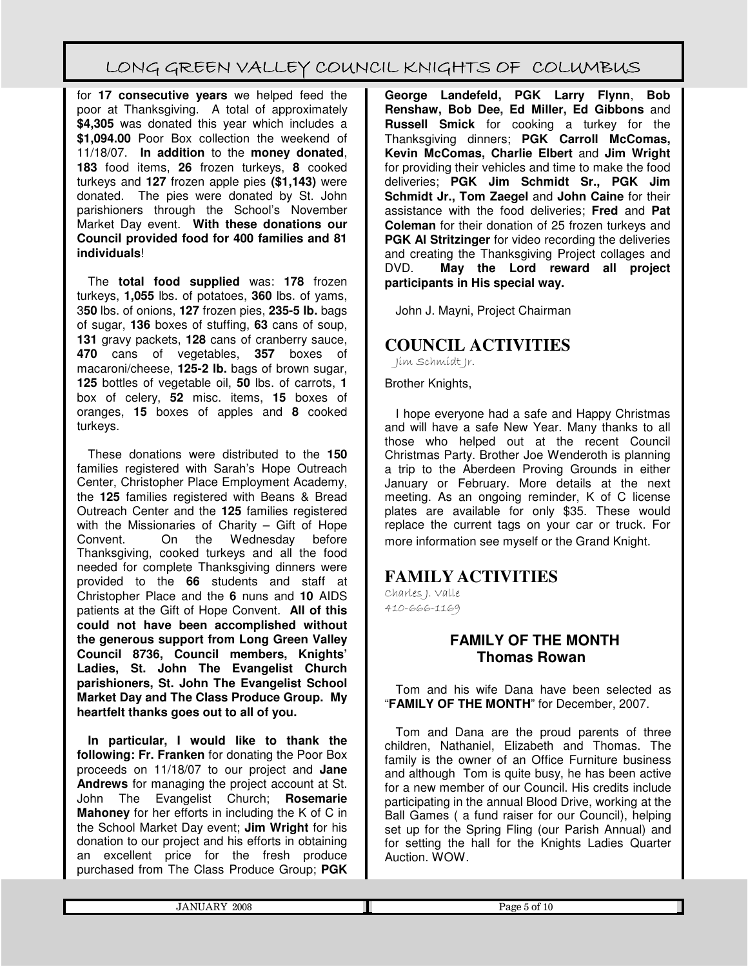for **17 consecutive years** we helped feed the poor at Thanksgiving. A total of approximately **\$4,305** was donated this year which includes a **\$1,094.00** Poor Box collection the weekend of 11/18/07. **In addition** to the **money donated**, **183** food items, **26** frozen turkeys, **8** cooked turkeys and **127** frozen apple pies **(\$1,143)** were donated. The pies were donated by St. John parishioners through the School's November Market Day event. **With these donations our Council provided food for 400 families and 81 individuals**!

The **total food supplied** was: **178** frozen turkeys, **1,055** lbs. of potatoes, **360** lbs. of yams, 3**50** lbs. of onions, **127** frozen pies, **235-5 lb.** bags of sugar, **136** boxes of stuffing, **63** cans of soup, **131** gravy packets, **128** cans of cranberry sauce, **470** cans of vegetables, **357** boxes of macaroni/cheese, **125-2 lb.** bags of brown sugar, **125** bottles of vegetable oil, **50** lbs. of carrots, **1** box of celery, **52** misc. items, **15** boxes of oranges, **15** boxes of apples and **8** cooked turkeys.

These donations were distributed to the **150** families registered with Sarah's Hope Outreach Center, Christopher Place Employment Academy, the **125** families registered with Beans & Bread Outreach Center and the **125** families registered with the Missionaries of Charity – Gift of Hope Convent. On the Wednesday before Thanksgiving, cooked turkeys and all the food needed for complete Thanksgiving dinners were provided to the **66** students and staff at Christopher Place and the **6** nuns and **10** AIDS patients at the Gift of Hope Convent. **All of this could not have been accomplished without the generous support from Long Green Valley Council 8736, Council members, Knights' Ladies, St. John The Evangelist Church parishioners, St. John The Evangelist School Market Day and The Class Produce Group. My heartfelt thanks goes out to all of you.**

**In particular, I would like to thank the following: Fr. Franken** for donating the Poor Box proceeds on 11/18/07 to our project and **Jane Andrews** for managing the project account at St. John The Evangelist Church; **Rosemarie Mahoney** for her efforts in including the K of C in the School Market Day event; **Jim Wright** for his donation to our project and his efforts in obtaining an excellent price for the fresh produce purchased from The Class Produce Group; **PGK**

**George Landefeld, PGK Larry Flynn**, **Bob Renshaw, Bob Dee, Ed Miller, Ed Gibbons** and **Russell Smick** for cooking a turkey for the Thanksgiving dinners; **PGK Carroll McComas, Kevin McComas, Charlie Elbert** and **Jim Wright** for providing their vehicles and time to make the food deliveries; **PGK Jim Schmidt Sr., PGK Jim Schmidt Jr., Tom Zaegel** and **John Caine** for their assistance with the food deliveries; **Fred** and **Pat Coleman** for their donation of 25 frozen turkeys and **PGK Al Stritzinger** for video recording the deliveries and creating the Thanksgiving Project collages and DVD. **May the Lord reward all project participants in His special way.** 

John J. Mayni, Project Chairman

### **COUNCIL ACTIVITIES**

Jim Schmidt Jr.

Brother Knights,

I hope everyone had a safe and Happy Christmas and will have a safe New Year. Many thanks to all those who helped out at the recent Council Christmas Party. Brother Joe Wenderoth is planning a trip to the Aberdeen Proving Grounds in either January or February. More details at the next meeting. As an ongoing reminder, K of C license plates are available for only \$35. These would replace the current tags on your car or truck. For more information see myself or the Grand Knight.

#### **FAMILY ACTIVITIES**

Charles J. Valle 410-666-1169

#### **FAMILY OF THE MONTH Thomas Rowan**

Tom and his wife Dana have been selected as "**FAMILY OF THE MONTH**" for December, 2007.

Tom and Dana are the proud parents of three children, Nathaniel, Elizabeth and Thomas. The family is the owner of an Office Furniture business and although Tom is quite busy, he has been active for a new member of our Council. His credits include participating in the annual Blood Drive, working at the Ball Games ( a fund raiser for our Council), helping set up for the Spring Fling (our Parish Annual) and for setting the hall for the Knights Ladies Quarter Auction. WOW.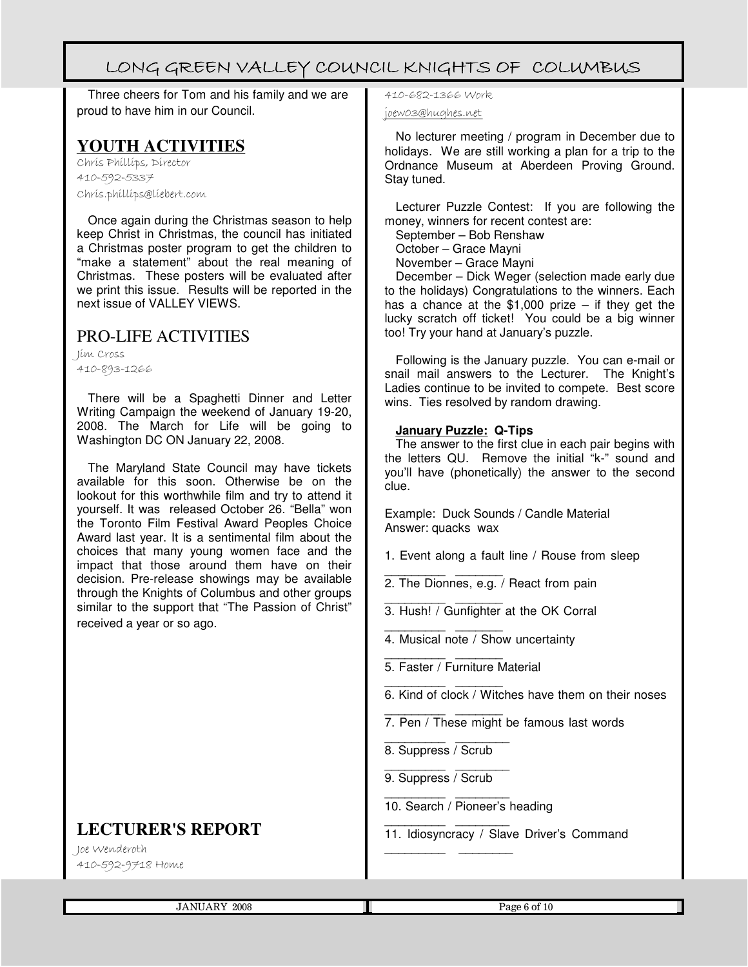Three cheers for Tom and his family and we are proud to have him in our Council.

### **YOUTH ACTIVITIES**

Chris Phillips, Director 410-592-5337 Chris.phillips@liebert.com

Once again during the Christmas season to help keep Christ in Christmas, the council has initiated a Christmas poster program to get the children to "make a statement" about the real meaning of Christmas. These posters will be evaluated after we print this issue. Results will be reported in the next issue of VALLEY VIEWS.

### PRO-LIFE ACTIVITIES

Jim Cross 410-893-1266

There will be a Spaghetti Dinner and Letter Writing Campaign the weekend of January 19-20, 2008. The March for Life will be going to Washington DC ON January 22, 2008.

The Maryland State Council may have tickets available for this soon. Otherwise be on the lookout for this worthwhile film and try to attend it yourself. It was released October 26. "Bella" won the Toronto Film Festival Award Peoples Choice Award last year. It is a sentimental film about the choices that many young women face and the impact that those around them have on their decision. Pre-release showings may be available through the Knights of Columbus and other groups similar to the support that "The Passion of Christ" received a year or so ago.

### **LECTURER'S REPORT**

Joe Wenderoth 410-592-9718 Home

# 410-682-1366 Work

joew03@hughes.net

No lecturer meeting / program in December due to holidays. We are still working a plan for a trip to the Ordnance Museum at Aberdeen Proving Ground. Stay tuned.

Lecturer Puzzle Contest: If you are following the money, winners for recent contest are:

September – Bob Renshaw

October – Grace Mayni

November – Grace Mayni

December – Dick Weger (selection made early due to the holidays) Congratulations to the winners. Each has a chance at the  $$1,000$  prize – if they get the lucky scratch off ticket! You could be a big winner too! Try your hand at January's puzzle.

Following is the January puzzle. You can e-mail or snail mail answers to the Lecturer. The Knight's Ladies continue to be invited to compete. Best score wins. Ties resolved by random drawing.

#### **January Puzzle: Q-Tips**

The answer to the first clue in each pair begins with the letters QU. Remove the initial "k-" sound and you'll have (phonetically) the answer to the second clue.

Example: Duck Sounds / Candle Material Answer: quacks wax

1. Event along a fault line / Rouse from sleep

- \_\_\_\_\_\_\_\_\_ \_\_\_\_\_\_\_ 2. The Dionnes, e.g. / React from pain
- $\frac{1}{2}$  ,  $\frac{1}{2}$  ,  $\frac{1}{2}$  ,  $\frac{1}{2}$  ,  $\frac{1}{2}$  ,  $\frac{1}{2}$  ,  $\frac{1}{2}$  ,  $\frac{1}{2}$  ,  $\frac{1}{2}$ 3. Hush! / Gunfighter at the OK Corral
- $\frac{1}{2}$  ,  $\frac{1}{2}$  ,  $\frac{1}{2}$  ,  $\frac{1}{2}$  ,  $\frac{1}{2}$  ,  $\frac{1}{2}$  ,  $\frac{1}{2}$  ,  $\frac{1}{2}$  ,  $\frac{1}{2}$ 4. Musical note / Show uncertainty
- $\frac{1}{2}$  ,  $\frac{1}{2}$  ,  $\frac{1}{2}$  ,  $\frac{1}{2}$  ,  $\frac{1}{2}$  ,  $\frac{1}{2}$  ,  $\frac{1}{2}$  ,  $\frac{1}{2}$  ,  $\frac{1}{2}$ 5. Faster / Furniture Material
- $\frac{1}{2}$  ,  $\frac{1}{2}$  ,  $\frac{1}{2}$  ,  $\frac{1}{2}$  ,  $\frac{1}{2}$  ,  $\frac{1}{2}$  ,  $\frac{1}{2}$  ,  $\frac{1}{2}$  ,  $\frac{1}{2}$ 6. Kind of clock / Witches have them on their noses
- \_\_\_\_\_\_\_\_\_ \_\_\_\_\_\_\_ 7. Pen / These might be famous last words
- $\overline{\phantom{a}}$  ,  $\overline{\phantom{a}}$  ,  $\overline{\phantom{a}}$  ,  $\overline{\phantom{a}}$  ,  $\overline{\phantom{a}}$  ,  $\overline{\phantom{a}}$  ,  $\overline{\phantom{a}}$  ,  $\overline{\phantom{a}}$  ,  $\overline{\phantom{a}}$  ,  $\overline{\phantom{a}}$  ,  $\overline{\phantom{a}}$  ,  $\overline{\phantom{a}}$  ,  $\overline{\phantom{a}}$  ,  $\overline{\phantom{a}}$  ,  $\overline{\phantom{a}}$  ,  $\overline{\phantom{a}}$ 8. Suppress / Scrub
- $\overline{\phantom{a}}$  ,  $\overline{\phantom{a}}$  ,  $\overline{\phantom{a}}$  ,  $\overline{\phantom{a}}$  ,  $\overline{\phantom{a}}$  ,  $\overline{\phantom{a}}$  ,  $\overline{\phantom{a}}$  ,  $\overline{\phantom{a}}$  ,  $\overline{\phantom{a}}$  ,  $\overline{\phantom{a}}$  ,  $\overline{\phantom{a}}$  ,  $\overline{\phantom{a}}$  ,  $\overline{\phantom{a}}$  ,  $\overline{\phantom{a}}$  ,  $\overline{\phantom{a}}$  ,  $\overline{\phantom{a}}$ 9. Suppress / Scrub

\_\_\_\_\_\_\_\_\_ \_\_\_\_\_\_\_\_

- $\overline{\phantom{a}}$  ,  $\overline{\phantom{a}}$  ,  $\overline{\phantom{a}}$  ,  $\overline{\phantom{a}}$  ,  $\overline{\phantom{a}}$  ,  $\overline{\phantom{a}}$  ,  $\overline{\phantom{a}}$  ,  $\overline{\phantom{a}}$  ,  $\overline{\phantom{a}}$  ,  $\overline{\phantom{a}}$  ,  $\overline{\phantom{a}}$  ,  $\overline{\phantom{a}}$  ,  $\overline{\phantom{a}}$  ,  $\overline{\phantom{a}}$  ,  $\overline{\phantom{a}}$  ,  $\overline{\phantom{a}}$ 10. Search / Pioneer's heading
- \_\_\_\_\_\_\_\_\_ \_\_\_\_\_\_\_\_ 11. Idiosyncracy / Slave Driver's Command

JANUARY 2008 Page 6 of 10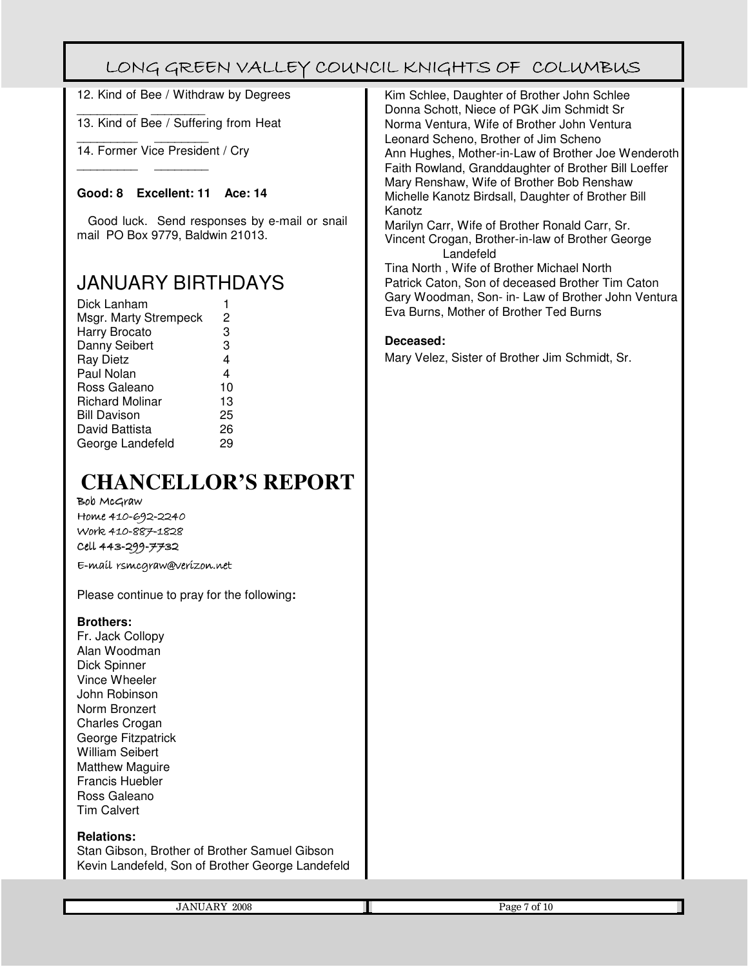12. Kind of Bee / Withdraw by Degrees

 $\_$ 13. Kind of Bee / Suffering from Heat

 $\_$ 14. Former Vice President / Cry

 $\_$ 

#### **Good: 8 Excellent: 11 Ace: 14**

Good luck. Send responses by e-mail or snail mail PO Box 9779, Baldwin 21013.

## JANUARY BIRTHDAYS

| Dick Lanham            |                |
|------------------------|----------------|
| Msgr. Marty Strempeck  | 2              |
| Harry Brocato          | 3              |
| Danny Seibert          | 3              |
| <b>Ray Dietz</b>       | 4              |
| Paul Nolan             | $\overline{4}$ |
| Ross Galeano           | 10             |
| <b>Richard Molinar</b> | 13             |
| <b>Bill Davison</b>    | 25             |
| David Battista         | 26             |
| George Landefeld       | 29             |

# **CHANCELLOR'S REPORT**

Bob McGraw Home 410-692-2240 Work 410-887-1828 Cell 443-299-7732

E-mail rsmcgraw@verizon.net E-mail rsmcgraw@verizon.net

Please continue to pray for the following**:** 

#### **Brothers:**

Fr. Jack Collopy Alan Woodman Dick Spinner Vince Wheeler John Robinson Norm Bronzert Charles Crogan George Fitzpatrick William Seibert Matthew Maguire Francis Huebler Ross Galeano Tim Calvert

#### **Relations:**

Stan Gibson, Brother of Brother Samuel Gibson Kevin Landefeld, Son of Brother George Landefeld Kim Schlee, Daughter of Brother John Schlee Donna Schott, Niece of PGK Jim Schmidt Sr Norma Ventura, Wife of Brother John Ventura Leonard Scheno, Brother of Jim Scheno Ann Hughes, Mother-in-Law of Brother Joe Wenderoth Faith Rowland, Granddaughter of Brother Bill Loeffer Mary Renshaw, Wife of Brother Bob Renshaw Michelle Kanotz Birdsall, Daughter of Brother Bill Kanotz

Marilyn Carr, Wife of Brother Ronald Carr, Sr. Vincent Crogan, Brother-in-law of Brother George Landefeld

Tina North , Wife of Brother Michael North Patrick Caton, Son of deceased Brother Tim Caton Gary Woodman, Son- in- Law of Brother John Ventura Eva Burns, Mother of Brother Ted Burns

#### **Deceased:**

Mary Velez, Sister of Brother Jim Schmidt, Sr.

|--|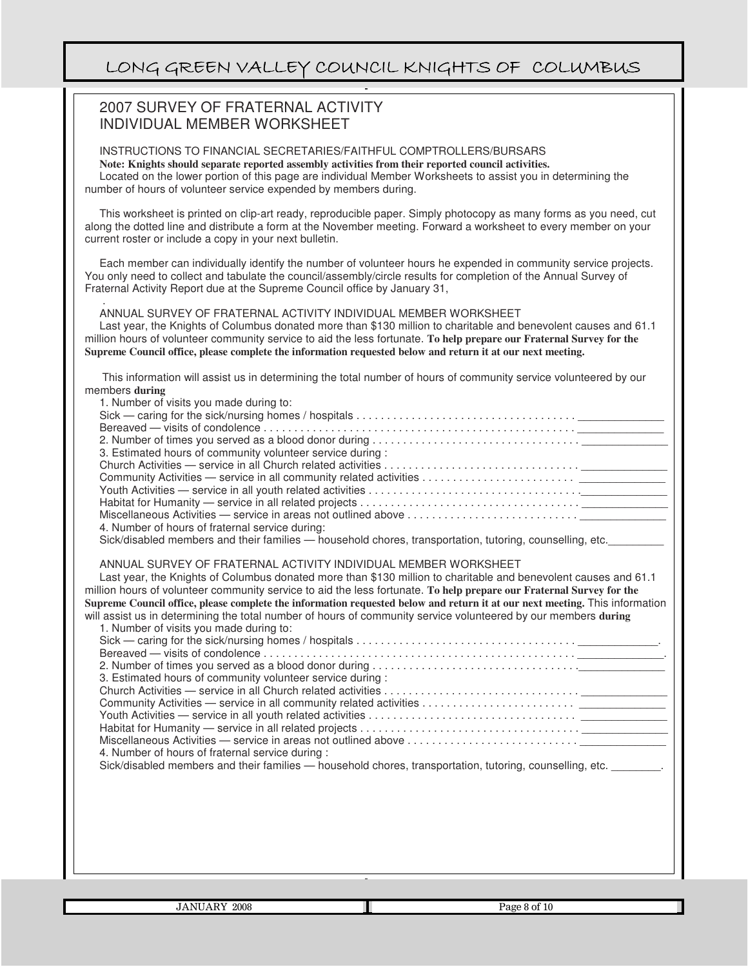#### 2007 SURVEY OF FRATERNAL ACTIVITY INDIVIDUAL MEMBER WORKSHEET

 $\overline{a}$ 

INSTRUCTIONS TO FINANCIAL SECRETARIES/FAITHFUL COMPTROLLERS/BURSARS **Note: Knights should separate reported assembly activities from their reported council activities.**

Located on the lower portion of this page are individual Member Worksheets to assist you in determining the number of hours of volunteer service expended by members during.

This worksheet is printed on clip-art ready, reproducible paper. Simply photocopy as many forms as you need, cut along the dotted line and distribute a form at the November meeting. Forward a worksheet to every member on your current roster or include a copy in your next bulletin.

Each member can individually identify the number of volunteer hours he expended in community service projects. You only need to collect and tabulate the council/assembly/circle results for completion of the Annual Survey of Fraternal Activity Report due at the Supreme Council office by January 31,

 . ANNUAL SURVEY OF FRATERNAL ACTIVITY INDIVIDUAL MEMBER WORKSHEET

Last year, the Knights of Columbus donated more than \$130 million to charitable and benevolent causes and 61.1 million hours of volunteer community service to aid the less fortunate. **To help prepare our Fraternal Survey for the Supreme Council office, please complete the information requested below and return it at our next meeting.**

This information will assist us in determining the total number of hours of community service volunteered by our members **during**

| 1. Number of visits you made during to:                                                                  |  |
|----------------------------------------------------------------------------------------------------------|--|
|                                                                                                          |  |
|                                                                                                          |  |
|                                                                                                          |  |
| 3. Estimated hours of community volunteer service during :                                               |  |
|                                                                                                          |  |
|                                                                                                          |  |
|                                                                                                          |  |
|                                                                                                          |  |
|                                                                                                          |  |
| 4. Number of hours of fraternal service during:                                                          |  |
| Sick/disabled members and their families - household chores, transportation, tutoring, counselling, etc. |  |

ANNUAL SURVEY OF FRATERNAL ACTIVITY INDIVIDUAL MEMBER WORKSHEET

Last year, the Knights of Columbus donated more than \$130 million to charitable and benevolent causes and 61.1 million hours of volunteer community service to aid the less fortunate. **To help prepare our Fraternal Survey for the Supreme Council office, please complete the information requested below and return it at our next meeting.** This information will assist us in determining the total number of hours of community service volunteered by our members **during**

| 1. Number of visits you made during to:                                                                  |
|----------------------------------------------------------------------------------------------------------|
|                                                                                                          |
|                                                                                                          |
|                                                                                                          |
| 3. Estimated hours of community volunteer service during :                                               |
|                                                                                                          |
|                                                                                                          |
|                                                                                                          |
|                                                                                                          |
|                                                                                                          |
| 4. Number of hours of fraternal service during:                                                          |
| Sick/disabled members and their families — household chores, transportation, tutoring, counselling, etc. |
|                                                                                                          |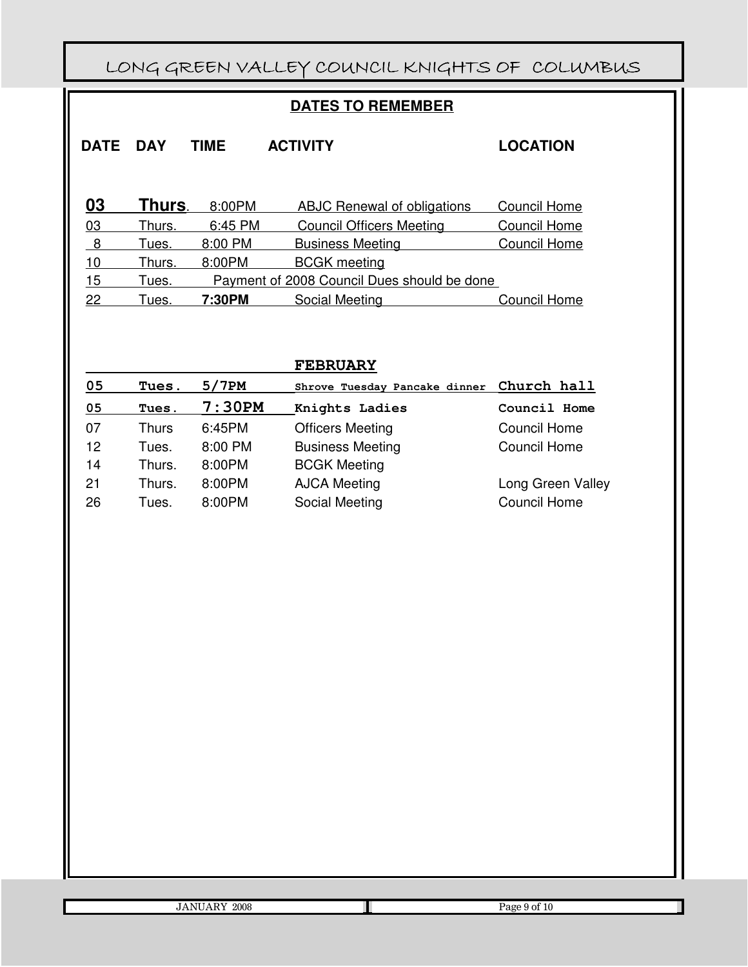### **DATES TO REMEMBER**

| <b>DATE</b> | <b>DAY</b> | TIME    | <b>ACTIVITY</b>                             | <b>LOCATION</b> |
|-------------|------------|---------|---------------------------------------------|-----------------|
|             |            |         |                                             |                 |
| 03          | Thurs.     | 8:00PM  | ABJC Renewal of obligations                 | Council Home    |
| 03          | Thurs.     | 6:45 PM | <b>Council Officers Meeting</b>             | Council Home    |
| -8          | Tues.      | 8:00 PM | <b>Business Meeting</b>                     | Council Home    |
| 10          | Thurs.     | 8:00PM  | <b>BCGK</b> meeting                         |                 |
| 15          | Tues.      |         | Payment of 2008 Council Dues should be done |                 |
| 22          | Tues.      | 7:30PM  | Social Meeting                              | Council Home    |

|    |              |         | <b>FEBRUARY</b>               |                     |
|----|--------------|---------|-------------------------------|---------------------|
| 05 | Tues.        | 5/7PM   | Shrove Tuesday Pancake dinner | Church hall         |
| 05 | Tues.        | 7:30PM  | Knights Ladies                | Council Home        |
| 07 | <b>Thurs</b> | 6:45PM  | <b>Officers Meeting</b>       | <b>Council Home</b> |
| 12 | Tues.        | 8:00 PM | <b>Business Meeting</b>       | Council Home        |
| 14 | Thurs.       | 8:00PM  | <b>BCGK Meeting</b>           |                     |
| 21 | Thurs.       | 8:00PM  | <b>AJCA Meeting</b>           | Long Green Valley   |
| 26 | Tues.        | 8:00PM  | Social Meeting                | <b>Council Home</b> |

| <b>JANUARY 2008</b> |  |
|---------------------|--|

Page 9 of 10